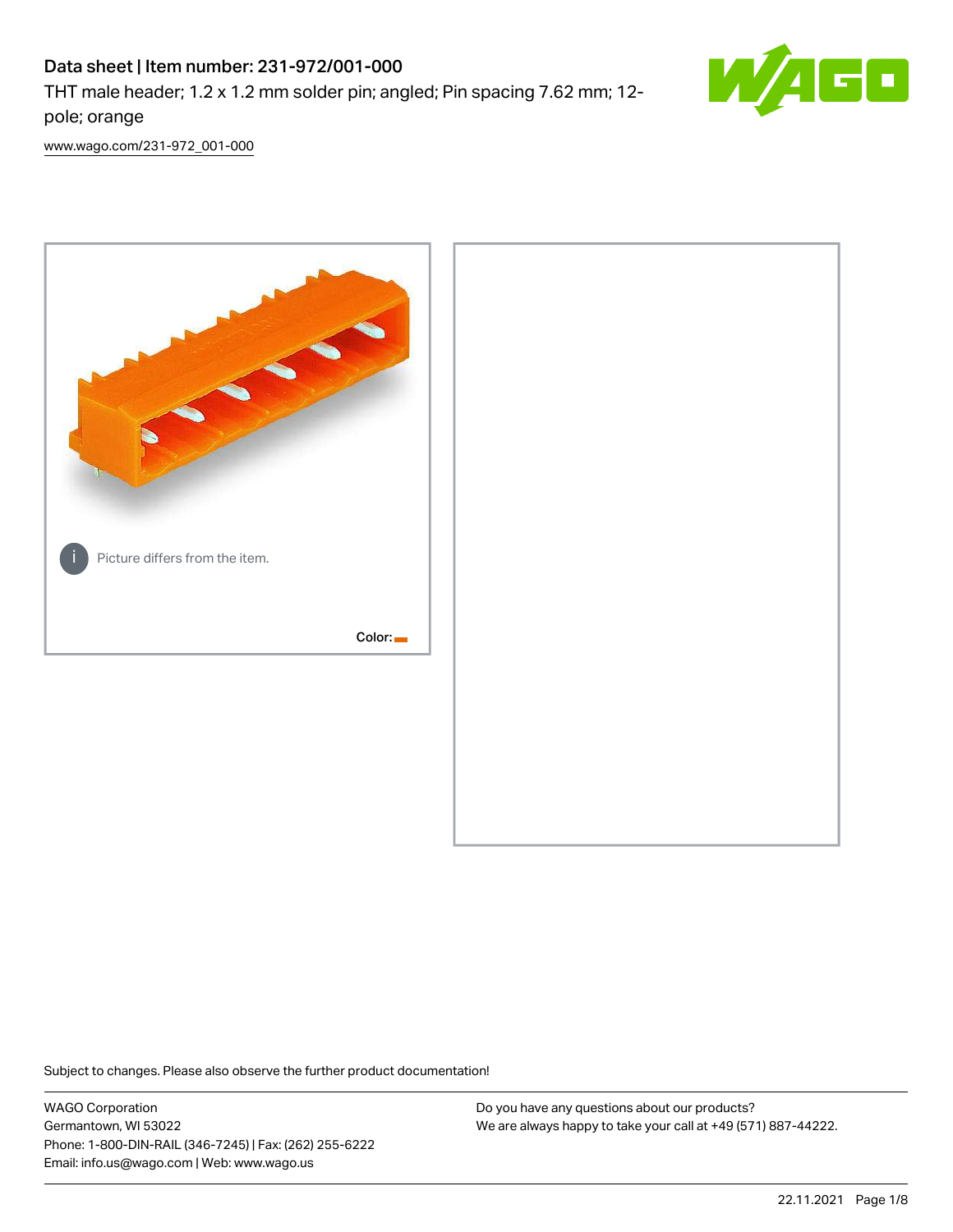# Data sheet | Item number: 231-972/001-000

THT male header; 1.2 x 1.2 mm solder pin; angled; Pin spacing 7.62 mm; 12 pole; orange



[www.wago.com/231-972\\_001-000](http://www.wago.com/231-972_001-000)



Subject to changes. Please also observe the further product documentation!

WAGO Corporation Germantown, WI 53022 Phone: 1-800-DIN-RAIL (346-7245) | Fax: (262) 255-6222 Email: info.us@wago.com | Web: www.wago.us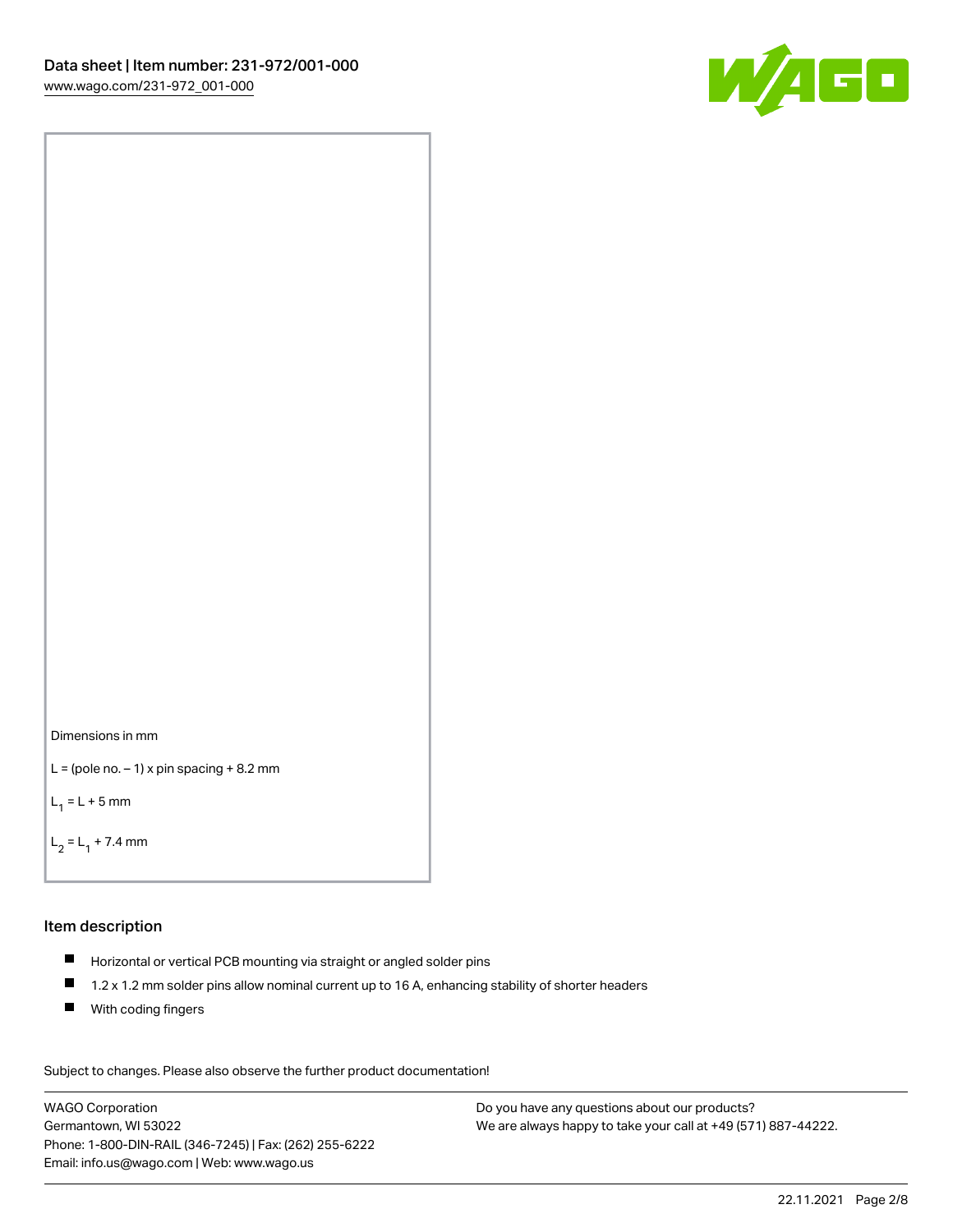

```
Dimensions in mm
```

```
L = (pole no. -1) x pin spacing +8.2 mm
```
 $L_1 = L + 5$  mm

```
L_2 = L_1 + 7.4 mm
```
#### Item description

- Horizontal or vertical PCB mounting via straight or angled solder pins
- $\blacksquare$ 1.2 x 1.2 mm solder pins allow nominal current up to 16 A, enhancing stability of shorter headers
- **With coding fingers**

Subject to changes. Please also observe the further product documentation! Data

WAGO Corporation Germantown, WI 53022 Phone: 1-800-DIN-RAIL (346-7245) | Fax: (262) 255-6222 Email: info.us@wago.com | Web: www.wago.us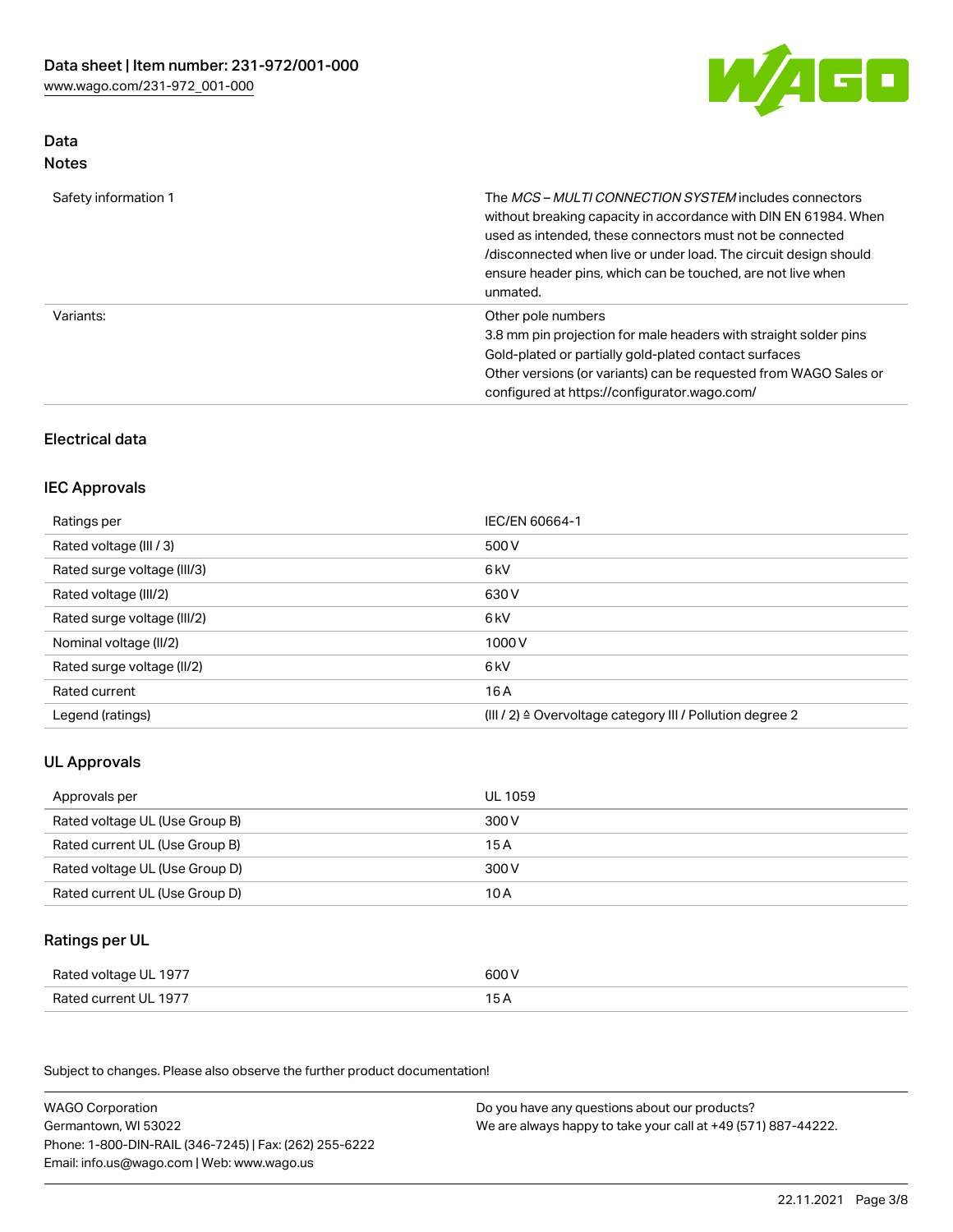

#### Data Notes

| Safety information 1 | The <i>MCS – MULTI CONNECTION SYSTEM</i> includes connectors<br>without breaking capacity in accordance with DIN EN 61984. When<br>used as intended, these connectors must not be connected<br>/disconnected when live or under load. The circuit design should<br>ensure header pins, which can be touched, are not live when<br>unmated. |
|----------------------|--------------------------------------------------------------------------------------------------------------------------------------------------------------------------------------------------------------------------------------------------------------------------------------------------------------------------------------------|
| Variants:            | Other pole numbers<br>3.8 mm pin projection for male headers with straight solder pins<br>Gold-plated or partially gold-plated contact surfaces<br>Other versions (or variants) can be requested from WAGO Sales or<br>configured at https://configurator.wago.com/                                                                        |

### Electrical data

#### IEC Approvals

| Ratings per                 | IEC/EN 60664-1                                                        |
|-----------------------------|-----------------------------------------------------------------------|
| Rated voltage (III / 3)     | 500 V                                                                 |
| Rated surge voltage (III/3) | 6 <sub>kV</sub>                                                       |
| Rated voltage (III/2)       | 630 V                                                                 |
| Rated surge voltage (III/2) | 6 <sub>kV</sub>                                                       |
| Nominal voltage (II/2)      | 1000V                                                                 |
| Rated surge voltage (II/2)  | 6 <sub>kV</sub>                                                       |
| Rated current               | 16A                                                                   |
| Legend (ratings)            | $(III / 2)$ $\triangle$ Overvoltage category III / Pollution degree 2 |

#### UL Approvals

| Approvals per                  | UL 1059 |
|--------------------------------|---------|
| Rated voltage UL (Use Group B) | 300 V   |
| Rated current UL (Use Group B) | 15 A    |
| Rated voltage UL (Use Group D) | 300 V   |
| Rated current UL (Use Group D) | 10 A    |

#### Ratings per UL

| Rated voltage UL 1977 | 600 V |
|-----------------------|-------|
| Rated current UL 1977 |       |

Subject to changes. Please also observe the further product documentation!

| <b>WAGO Corporation</b>                                | Do you have any questions about our products?                 |
|--------------------------------------------------------|---------------------------------------------------------------|
| Germantown, WI 53022                                   | We are always happy to take your call at +49 (571) 887-44222. |
| Phone: 1-800-DIN-RAIL (346-7245)   Fax: (262) 255-6222 |                                                               |
| Email: info.us@wago.com   Web: www.wago.us             |                                                               |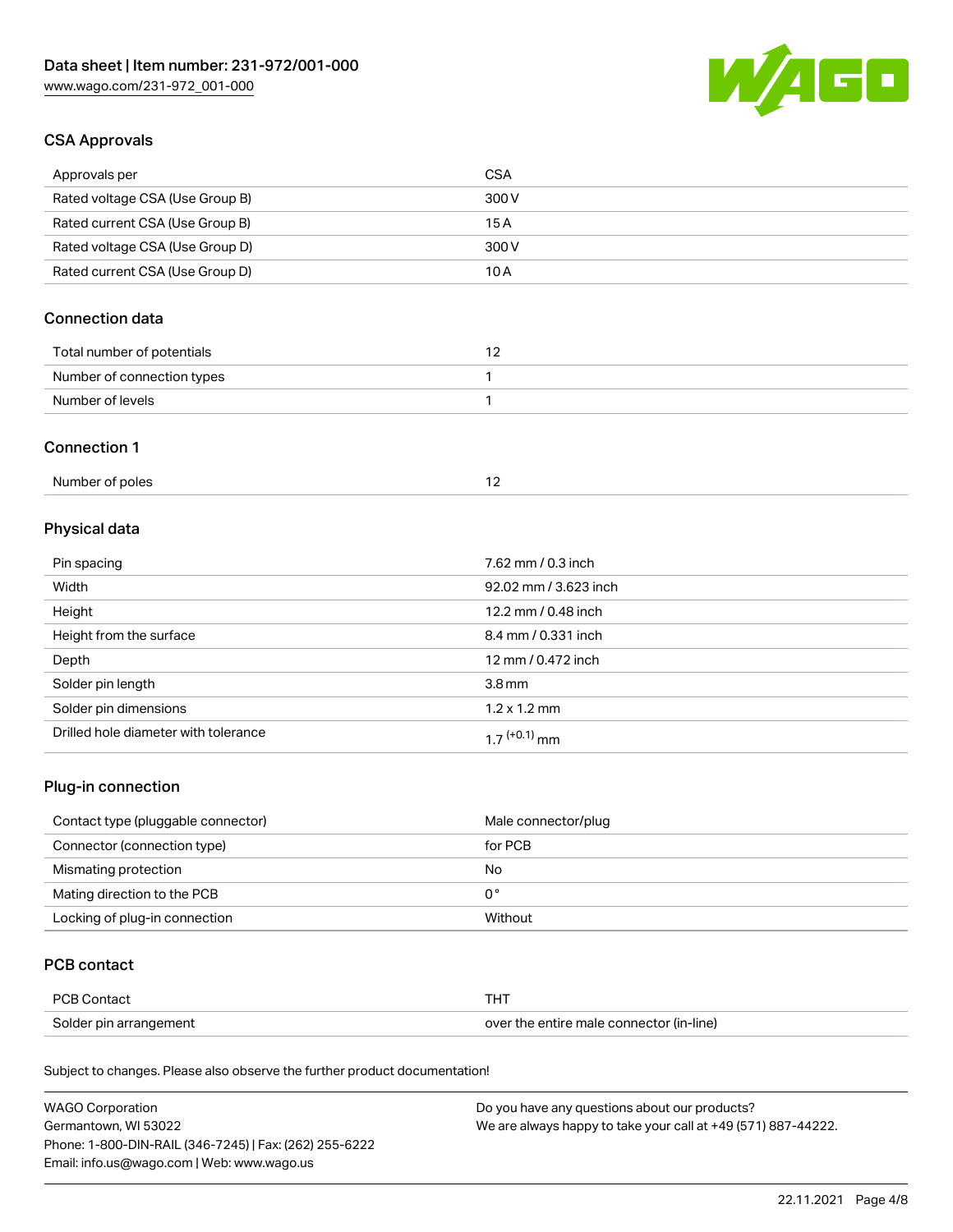

#### CSA Approvals

| Approvals per                   | <b>CSA</b> |
|---------------------------------|------------|
| Rated voltage CSA (Use Group B) | 300 V      |
| Rated current CSA (Use Group B) | 15 A       |
| Rated voltage CSA (Use Group D) | 300 V      |
| Rated current CSA (Use Group D) | 10 A       |

### Connection data

| Total number of potentials |  |
|----------------------------|--|
| Number of connection types |  |
| Number of levels           |  |

#### Connection 1

## Physical data

| Pin spacing                          | 7.62 mm / 0.3 inch    |
|--------------------------------------|-----------------------|
| Width                                | 92.02 mm / 3.623 inch |
| Height                               | 12.2 mm / 0.48 inch   |
| Height from the surface              | 8.4 mm / 0.331 inch   |
| Depth                                | 12 mm / 0.472 inch    |
| Solder pin length                    | 3.8 <sub>mm</sub>     |
| Solder pin dimensions                | $1.2 \times 1.2$ mm   |
| Drilled hole diameter with tolerance | $17^{(+0.1)}$ mm      |

#### Plug-in connection

| Contact type (pluggable connector) | Male connector/plug |
|------------------------------------|---------------------|
| Connector (connection type)        | for PCB             |
| Mismating protection               | No                  |
| Mating direction to the PCB        | 0°                  |
| Locking of plug-in connection      | Without             |

#### PCB contact

| PCB Contact            | тнт                                      |
|------------------------|------------------------------------------|
| Solder pin arrangement | over the entire male connector (in-line) |

Subject to changes. Please also observe the further product documentation!

| <b>WAGO Corporation</b>                                | Do you have any questions about our products?                 |
|--------------------------------------------------------|---------------------------------------------------------------|
| Germantown, WI 53022                                   | We are always happy to take your call at +49 (571) 887-44222. |
| Phone: 1-800-DIN-RAIL (346-7245)   Fax: (262) 255-6222 |                                                               |
| Email: info.us@wago.com   Web: www.wago.us             |                                                               |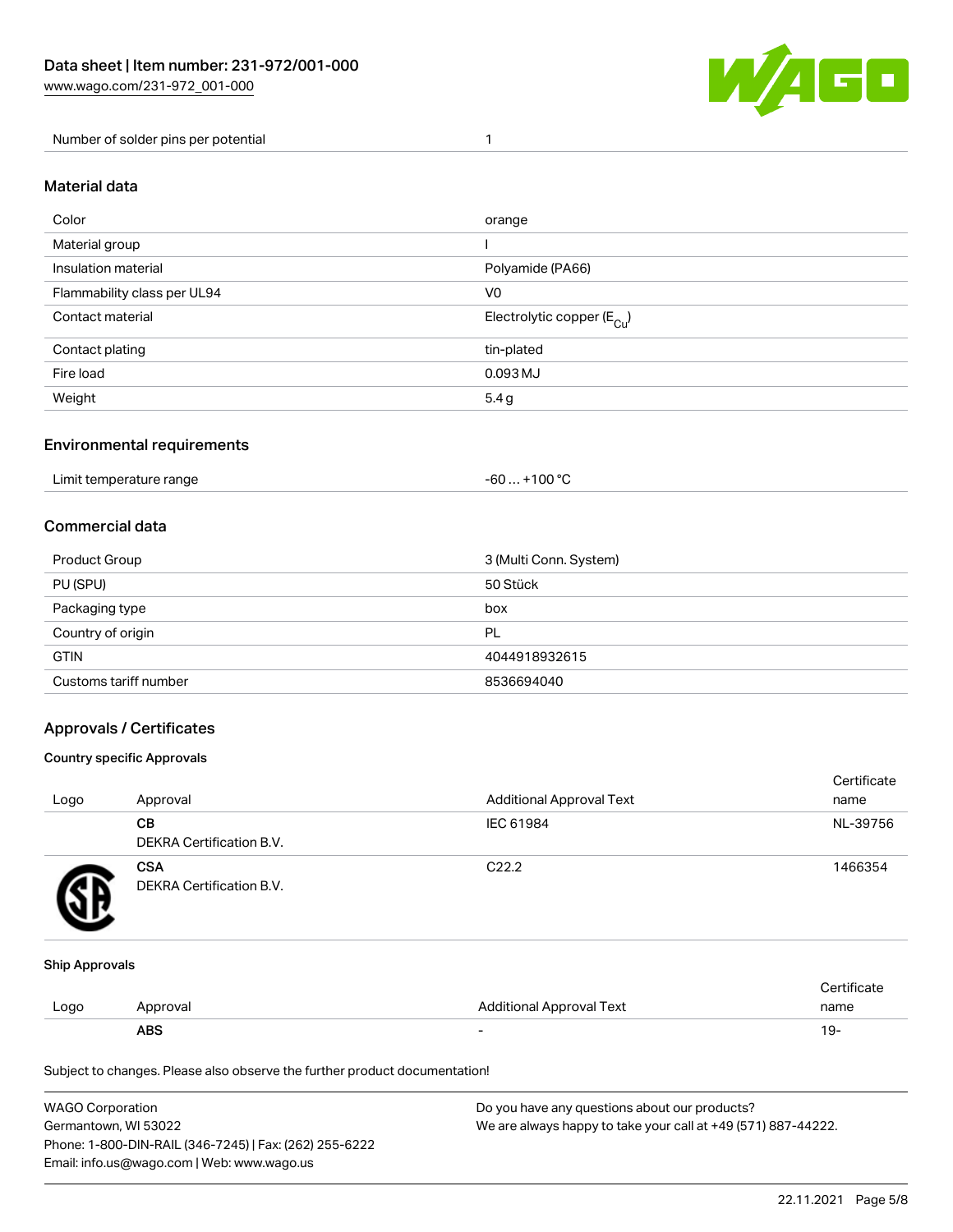

Number of solder pins per potential 1

#### Material data

| Color                       | orange                                 |
|-----------------------------|----------------------------------------|
| Material group              |                                        |
| Insulation material         | Polyamide (PA66)                       |
| Flammability class per UL94 | V <sub>0</sub>                         |
| Contact material            | Electrolytic copper (E <sub>Cu</sub> ) |
| Contact plating             | tin-plated                             |
| Fire load                   | 0.093 MJ                               |
| Weight                      | 5.4g                                   |

#### Environmental requirements

Limit temperature range  $-60... +100$  °C

#### Commercial data

| Product Group         | 3 (Multi Conn. System) |
|-----------------------|------------------------|
| PU (SPU)              | 50 Stück               |
| Packaging type        | box                    |
| Country of origin     | PL                     |
| <b>GTIN</b>           | 4044918932615          |
| Customs tariff number | 8536694040             |

#### Approvals / Certificates

#### Country specific Approvals

| Logo | Approval                               | <b>Additional Approval Text</b> | Certificate<br>name |
|------|----------------------------------------|---------------------------------|---------------------|
|      | CВ<br><b>DEKRA Certification B.V.</b>  | IEC 61984                       | NL-39756            |
|      | <b>CSA</b><br>DEKRA Certification B.V. | C <sub>22.2</sub>               | 1466354             |

#### Ship Approvals

|      | ABS      | $\overline{\phantom{0}}$ | 19.         |
|------|----------|--------------------------|-------------|
| Logo | Approval | Additional Approval Text | name        |
|      |          |                          | ∵∘rtificate |

Subject to changes. Please also observe the further product documentation!

| <b>WAGO Corporation</b>                                | Do you have any questions about our products?                 |
|--------------------------------------------------------|---------------------------------------------------------------|
| Germantown, WI 53022                                   | We are always happy to take your call at +49 (571) 887-44222. |
| Phone: 1-800-DIN-RAIL (346-7245)   Fax: (262) 255-6222 |                                                               |
| Email: info.us@wago.com   Web: www.wago.us             |                                                               |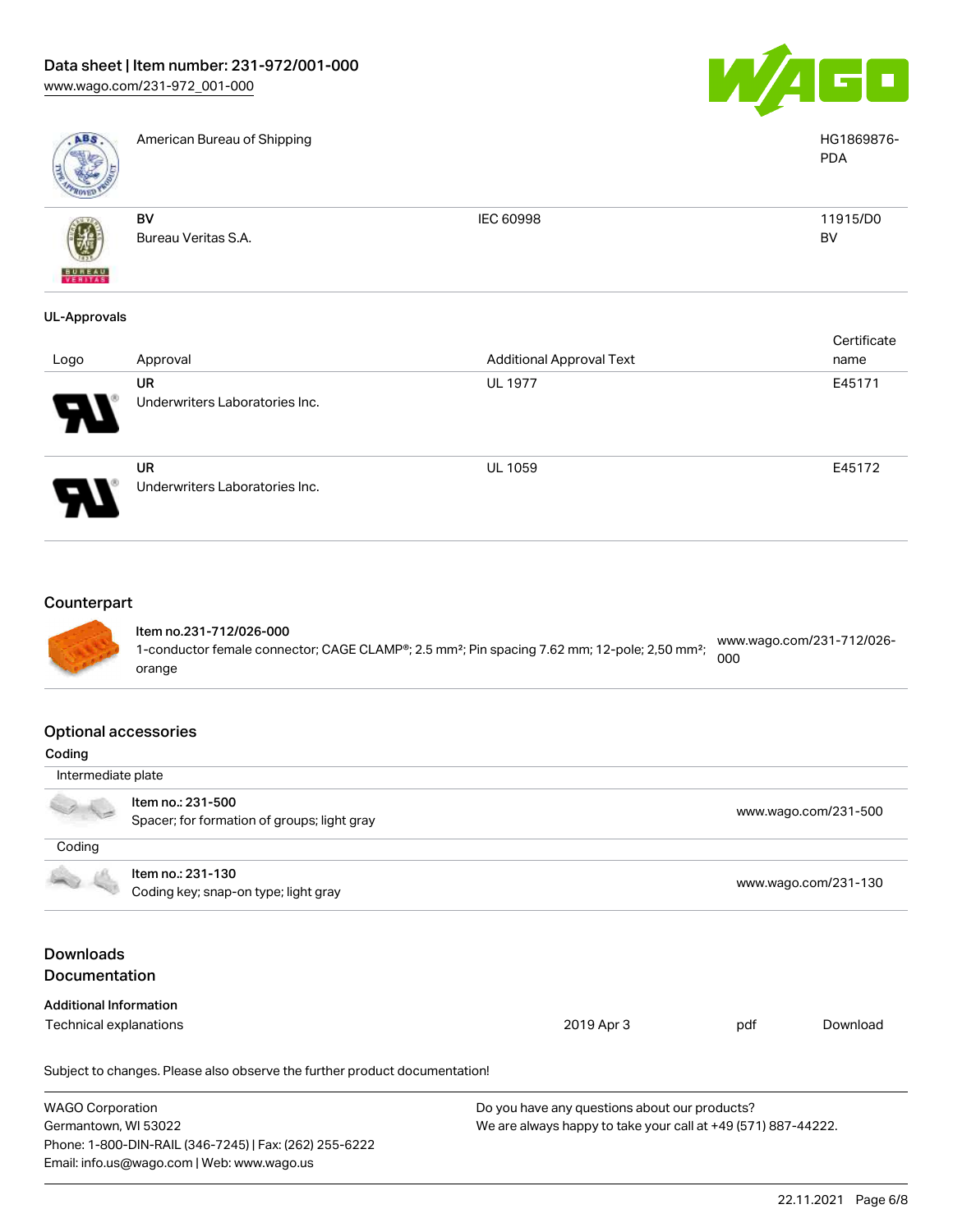



American Bureau of Shipping HG1869876-

| ROVED         |                           |           |                |
|---------------|---------------------------|-----------|----------------|
| (V)           | BV<br>Bureau Veritas S.A. | IEC 60998 | 11915/D0<br>BV |
| <b>BUREAU</b> |                           |           |                |

#### UL-Approvals

| Logo                             | Approval                             | <b>Additional Approval Text</b> | Certificate<br>name |
|----------------------------------|--------------------------------------|---------------------------------|---------------------|
| $\boldsymbol{\mathcal{F}}$<br>77 | UR<br>Underwriters Laboratories Inc. | <b>UL 1977</b>                  | E45171              |
|                                  | UR<br>Underwriters Laboratories Inc. | <b>UL 1059</b>                  | E45172              |

#### **Counterpart**



#### Item no.231-712/026-000 1-conductor female connector; CAGE CLAMP®; 2.5 mm²; Pin spacing 7.62 mm; 12-pole; 2,50 mm²; orange [www.wago.com/231-712/026-](https://www.wago.com/231-712/026-000) [000](https://www.wago.com/231-712/026-000)

#### Optional accessories

| - paolina de cococo i loc            |                                                                            |                                                               |     |                      |  |
|--------------------------------------|----------------------------------------------------------------------------|---------------------------------------------------------------|-----|----------------------|--|
| Coding                               |                                                                            |                                                               |     |                      |  |
| Intermediate plate                   |                                                                            |                                                               |     |                      |  |
|                                      | Item no.: 231-500<br>Spacer; for formation of groups; light gray           |                                                               |     | www.wago.com/231-500 |  |
|                                      |                                                                            |                                                               |     |                      |  |
| Coding                               |                                                                            |                                                               |     |                      |  |
|                                      | Item no.: 231-130                                                          |                                                               |     |                      |  |
| Coding key; snap-on type; light gray |                                                                            |                                                               |     | www.wago.com/231-130 |  |
| <b>Downloads</b>                     |                                                                            |                                                               |     |                      |  |
| <b>Documentation</b>                 |                                                                            |                                                               |     |                      |  |
| <b>Additional Information</b>        |                                                                            |                                                               |     |                      |  |
| Technical explanations               |                                                                            | 2019 Apr 3                                                    | pdf | Download             |  |
|                                      | Subject to changes. Please also observe the further product documentation! |                                                               |     |                      |  |
| <b>WAGO Corporation</b>              |                                                                            | Do you have any questions about our products?                 |     |                      |  |
| Germantown, WI 53022                 |                                                                            | We are always happy to take your call at +49 (571) 887-44222. |     |                      |  |
|                                      | Phone: 1-800-DIN-RAIL (346-7245)   Fax: (262) 255-6222                     |                                                               |     |                      |  |
|                                      | Email: info.us@wago.com   Web: www.wago.us                                 |                                                               |     |                      |  |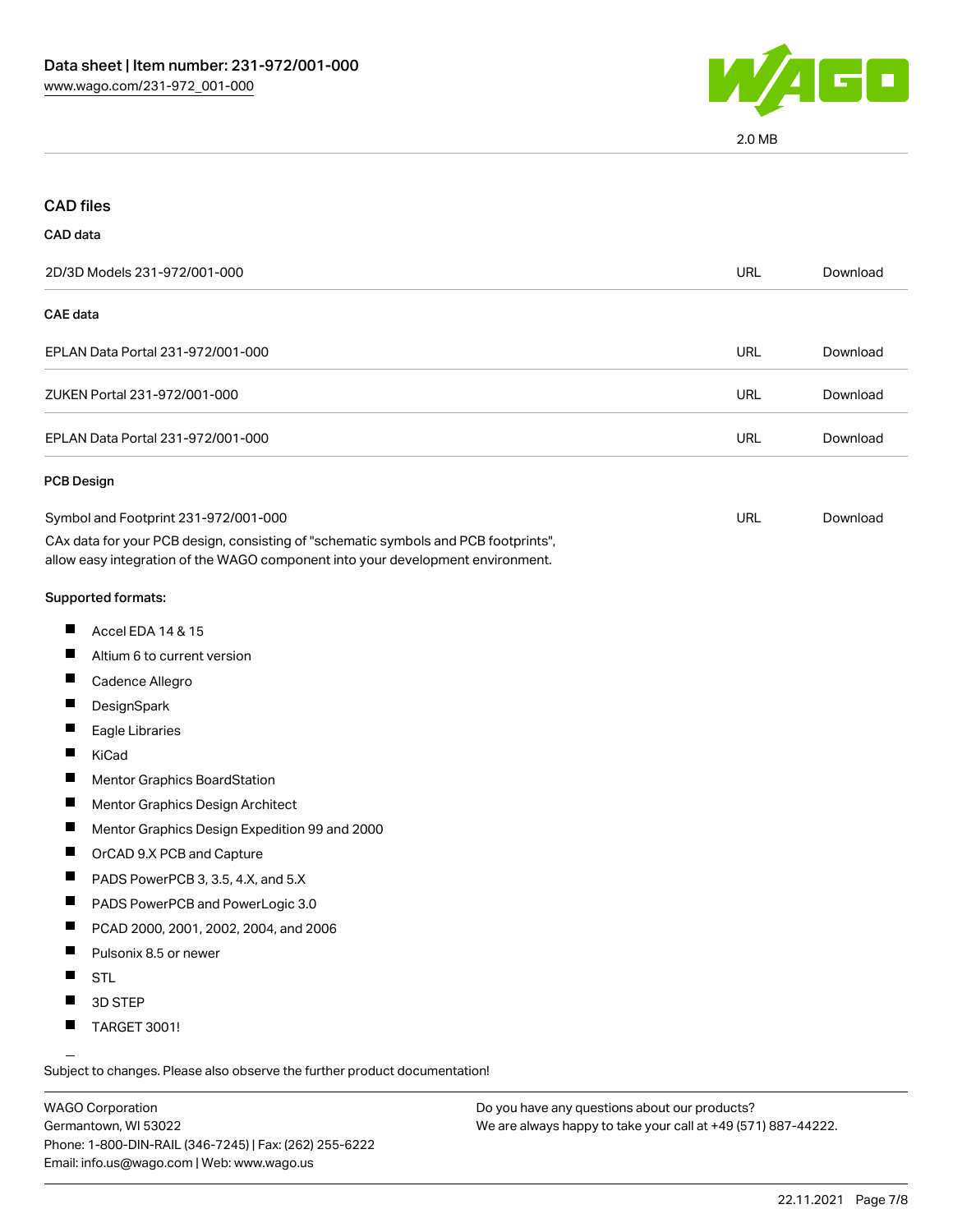

2.0 MB

| <b>CAD</b> files                                                                                                                                                                                               |            |          |
|----------------------------------------------------------------------------------------------------------------------------------------------------------------------------------------------------------------|------------|----------|
| CAD data                                                                                                                                                                                                       |            |          |
| 2D/3D Models 231-972/001-000                                                                                                                                                                                   | <b>URL</b> | Download |
| <b>CAE</b> data                                                                                                                                                                                                |            |          |
| EPLAN Data Portal 231-972/001-000                                                                                                                                                                              | <b>URL</b> | Download |
| ZUKEN Portal 231-972/001-000                                                                                                                                                                                   | URL        | Download |
| EPLAN Data Portal 231-972/001-000                                                                                                                                                                              | <b>URL</b> | Download |
| <b>PCB Design</b>                                                                                                                                                                                              |            |          |
| Symbol and Footprint 231-972/001-000<br>CAx data for your PCB design, consisting of "schematic symbols and PCB footprints",<br>allow easy integration of the WAGO component into your development environment. | <b>URL</b> | Download |
| Supported formats:                                                                                                                                                                                             |            |          |
| ш<br>Accel EDA 14 & 15                                                                                                                                                                                         |            |          |
| ш<br>Altium 6 to current version                                                                                                                                                                               |            |          |
| Ш<br>Cadence Allegro                                                                                                                                                                                           |            |          |
| ш<br>DesignSpark                                                                                                                                                                                               |            |          |
| ш<br>Eagle Libraries                                                                                                                                                                                           |            |          |
| Ш<br>KiCad                                                                                                                                                                                                     |            |          |
| L<br>Mentor Graphics BoardStation                                                                                                                                                                              |            |          |
| ш<br>Mentor Graphics Design Architect                                                                                                                                                                          |            |          |
| Ш<br>Mentor Graphics Design Expedition 99 and 2000                                                                                                                                                             |            |          |
| Ш<br>OrCAD 9.X PCB and Capture                                                                                                                                                                                 |            |          |
| Ш<br>PADS PowerPCB 3, 3.5, 4.X, and 5.X                                                                                                                                                                        |            |          |
| PADS PowerPCB and PowerLogic 3.0<br>ш                                                                                                                                                                          |            |          |
| PCAD 2000, 2001, 2002, 2004, and 2006                                                                                                                                                                          |            |          |
| Ш<br>Pulsonix 8.5 or newer                                                                                                                                                                                     |            |          |
| ш<br><b>STL</b>                                                                                                                                                                                                |            |          |
| 3D STEP                                                                                                                                                                                                        |            |          |
| ш<br>TARGET 3001!                                                                                                                                                                                              |            |          |

Subject to changes. Please also observe the further product documentation!

WAGO Corporation Germantown, WI 53022 Phone: 1-800-DIN-RAIL (346-7245) | Fax: (262) 255-6222 Email: info.us@wago.com | Web: www.wago.us